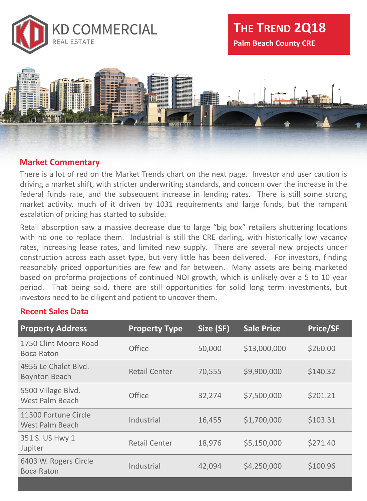



## **Market Commentary**

There is a lot of red on the Market Trends chart on the next page. Investor and user caution is driving a market shift, with stricter underwriting standards, and concern over the increase in the federal funds rate, and the subsequent increase in lending rates. There is still some strong market activity, much of it driven by 1031 requirements and large funds, but the rampant escalation of pricing has started to subside.

Retail absorption saw a massive decrease due to large "big box" retailers shuttering locations with no one to replace them. Industrial is still the CRE darling, with historically low vacancy rates, increasing lease rates, and limited new supply. There are several new projects under construction across each asset type, but very little has been delivered. For investors, finding reasonably priced opportunities are few and far between. Many assets are being marketed based on proforma projections of continued NOI growth, which is unlikely over a 5 to 10 year period. That being said, there are still opportunities for solid long term investments, but investors need to be diligent and patient to uncover them.

## **Recent Sales Data**

| <b>Property Address</b>                        | <b>Property Type</b> | Size (SF) | <b>Sale Price</b> | <b>Price/SF</b> |
|------------------------------------------------|----------------------|-----------|-------------------|-----------------|
| 1750 Clint Moore Road<br><b>Boca Raton</b>     | Office               | 50,000    | \$13,000,000      | \$260.00        |
| 4956 Le Chalet Blvd.<br><b>Boynton Beach</b>   | <b>Retail Center</b> | 70,555    | \$9,900,000       | \$140.32        |
| 5500 Village Blvd.<br><b>West Palm Beach</b>   | <b>Office</b>        | 32,274    | \$7,500,000       | \$201.21        |
| 11300 Fortune Circle<br><b>West Palm Beach</b> | Industrial           | 16,455    | \$1,700,000       | \$103.31        |
| 351 S. US Hwy 1<br>Jupiter                     | <b>Retail Center</b> | 18,976    | \$5,150,000       | \$271.40        |
| 6403 W. Rogers Circle<br><b>Boca Raton</b>     | Industrial           | 42,094    | \$4,250,000       | \$100.96        |